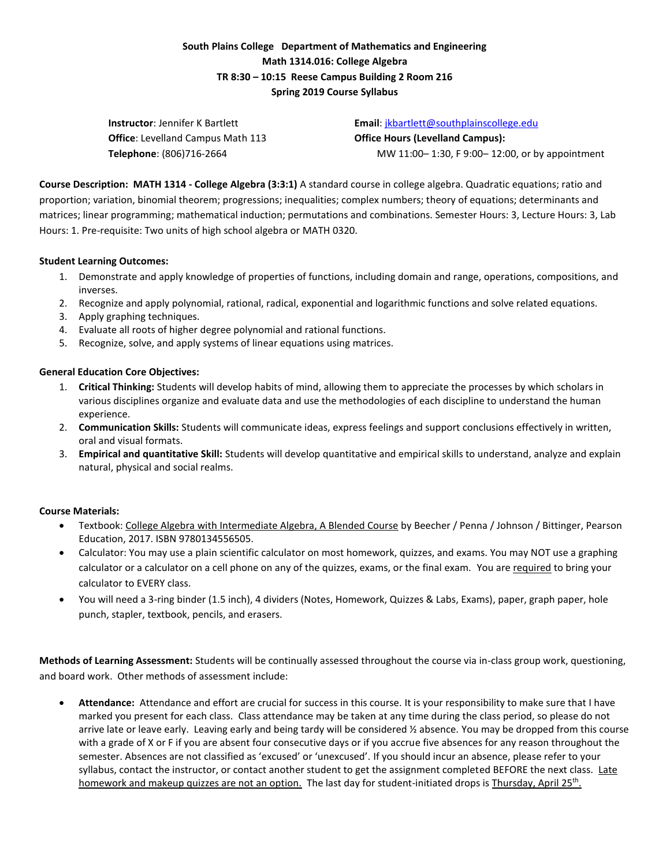# **South Plains College Department of Mathematics and Engineering Math 1314.016: College Algebra TR 8:30 – 10:15 Reese Campus Building 2 Room 216 Spring 2019 Course Syllabus**

| <b>Instructor</b> : Jennifer K Bartlett   | <b>Email:</b> $ikbarlet$ ( $@$ southplainscollege.edu |
|-------------------------------------------|-------------------------------------------------------|
| <b>Office</b> : Levelland Campus Math 113 | <b>Office Hours (Levelland Campus):</b>               |
| <b>Telephone</b> : (806)716-2664          | MW 11:00-1:30, F 9:00-12:00, or by appointment        |

**Course Description: MATH 1314 - College Algebra (3:3:1)** A standard course in college algebra. Quadratic equations; ratio and proportion; variation, binomial theorem; progressions; inequalities; complex numbers; theory of equations; determinants and matrices; linear programming; mathematical induction; permutations and combinations. Semester Hours: 3, Lecture Hours: 3, Lab Hours: 1. Pre-requisite: Two units of high school algebra or MATH 0320.

# **Student Learning Outcomes:**

- 1. Demonstrate and apply knowledge of properties of functions, including domain and range, operations, compositions, and inverses.
- 2. Recognize and apply polynomial, rational, radical, exponential and logarithmic functions and solve related equations.
- 3. Apply graphing techniques.
- 4. Evaluate all roots of higher degree polynomial and rational functions.
- 5. Recognize, solve, and apply systems of linear equations using matrices.

# **General Education Core Objectives:**

- 1. **Critical Thinking:** Students will develop habits of mind, allowing them to appreciate the processes by which scholars in various disciplines organize and evaluate data and use the methodologies of each discipline to understand the human experience.
- 2. **Communication Skills:** Students will communicate ideas, express feelings and support conclusions effectively in written, oral and visual formats.
- 3. **Empirical and quantitative Skill:** Students will develop quantitative and empirical skills to understand, analyze and explain natural, physical and social realms.

#### **Course Materials:**

- Textbook: College Algebra with Intermediate Algebra, A Blended Course by Beecher / Penna / Johnson / Bittinger, Pearson Education, 2017. ISBN 9780134556505.
- Calculator: You may use a plain scientific calculator on most homework, quizzes, and exams. You may NOT use a graphing calculator or a calculator on a cell phone on any of the quizzes, exams, or the final exam. You are required to bring your calculator to EVERY class.
- You will need a 3-ring binder (1.5 inch), 4 dividers (Notes, Homework, Quizzes & Labs, Exams), paper, graph paper, hole punch, stapler, textbook, pencils, and erasers.

**Methods of Learning Assessment:** Students will be continually assessed throughout the course via in-class group work, questioning, and board work. Other methods of assessment include:

 **Attendance:** Attendance and effort are crucial for success in this course. It is your responsibility to make sure that I have marked you present for each class. Class attendance may be taken at any time during the class period, so please do not arrive late or leave early. Leaving early and being tardy will be considered  $\frac{1}{2}$  absence. You may be dropped from this course with a grade of X or F if you are absent four consecutive days or if you accrue five absences for any reason throughout the semester. Absences are not classified as 'excused' or 'unexcused'. If you should incur an absence, please refer to your syllabus, contact the instructor, or contact another student to get the assignment completed BEFORE the next class. Late homework and makeup quizzes are not an option. The last day for student-initiated drops is <u>Thursday, April 25<sup>th</sup>.</u>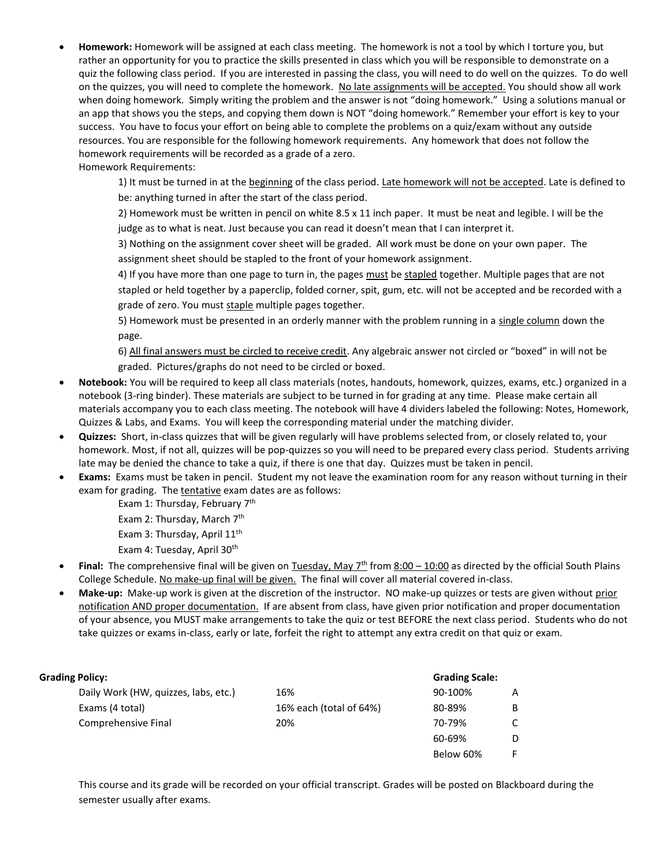**Homework:** Homework will be assigned at each class meeting. The homework is not a tool by which I torture you, but rather an opportunity for you to practice the skills presented in class which you will be responsible to demonstrate on a quiz the following class period. If you are interested in passing the class, you will need to do well on the quizzes. To do well on the quizzes, you will need to complete the homework. No late assignments will be accepted. You should show all work when doing homework. Simply writing the problem and the answer is not "doing homework." Using a solutions manual or an app that shows you the steps, and copying them down is NOT "doing homework." Remember your effort is key to your success. You have to focus your effort on being able to complete the problems on a quiz/exam without any outside resources. You are responsible for the following homework requirements. Any homework that does not follow the homework requirements will be recorded as a grade of a zero.

Homework Requirements:

1) It must be turned in at the beginning of the class period. Late homework will not be accepted. Late is defined to be: anything turned in after the start of the class period.

2) Homework must be written in pencil on white 8.5 x 11 inch paper. It must be neat and legible. I will be the judge as to what is neat. Just because you can read it doesn't mean that I can interpret it.

3) Nothing on the assignment cover sheet will be graded. All work must be done on your own paper. The assignment sheet should be stapled to the front of your homework assignment.

4) If you have more than one page to turn in, the pages must be stapled together. Multiple pages that are not stapled or held together by a paperclip, folded corner, spit, gum, etc. will not be accepted and be recorded with a grade of zero. You must staple multiple pages together.

5) Homework must be presented in an orderly manner with the problem running in a single column down the page.

6) All final answers must be circled to receive credit. Any algebraic answer not circled or "boxed" in will not be graded. Pictures/graphs do not need to be circled or boxed.

- **Notebook:** You will be required to keep all class materials (notes, handouts, homework, quizzes, exams, etc.) organized in a notebook (3-ring binder). These materials are subject to be turned in for grading at any time. Please make certain all materials accompany you to each class meeting. The notebook will have 4 dividers labeled the following: Notes, Homework, Quizzes & Labs, and Exams. You will keep the corresponding material under the matching divider.
- **Quizzes:** Short, in-class quizzes that will be given regularly will have problems selected from, or closely related to, your homework. Most, if not all, quizzes will be pop-quizzes so you will need to be prepared every class period. Students arriving late may be denied the chance to take a quiz, if there is one that day. Quizzes must be taken in pencil.
- **Exams:** Exams must be taken in pencil. Student my not leave the examination room for any reason without turning in their exam for grading. The tentative exam dates are as follows:

Exam 1: Thursday, February 7<sup>th</sup>

Exam 2: Thursday, March  $7<sup>th</sup>$ 

Exam 3: Thursday, April 11<sup>th</sup>

- Exam 4: Tuesday, April 30<sup>th</sup>
- **Final:** The comprehensive final will be given on Tuesday, May  $7^{th}$  from  $8:00 10:00$  as directed by the official South Plains College Schedule. No make-up final will be given. The final will cover all material covered in-class.
- **Make-up:** Make-up work is given at the discretion of the instructor. NO make-up quizzes or tests are given without prior notification AND proper documentation. If are absent from class, have given prior notification and proper documentation of your absence, you MUST make arrangements to take the quiz or test BEFORE the next class period. Students who do not take quizzes or exams in-class, early or late, forfeit the right to attempt any extra credit on that quiz or exam.

### **Grading Policy: Grading Scale:**

| .                                    |                         | - - - - - - - - - - - - |   |
|--------------------------------------|-------------------------|-------------------------|---|
| Daily Work (HW, quizzes, labs, etc.) | 16%                     | 90-100%                 | A |
| Exams (4 total)                      | 16% each (total of 64%) | 80-89%                  | B |
| Comprehensive Final                  | 20%                     | 70-79%                  | C |
|                                      |                         | 60-69%                  | D |
|                                      |                         | Below 60%               | F |

This course and its grade will be recorded on your official transcript. Grades will be posted on Blackboard during the semester usually after exams.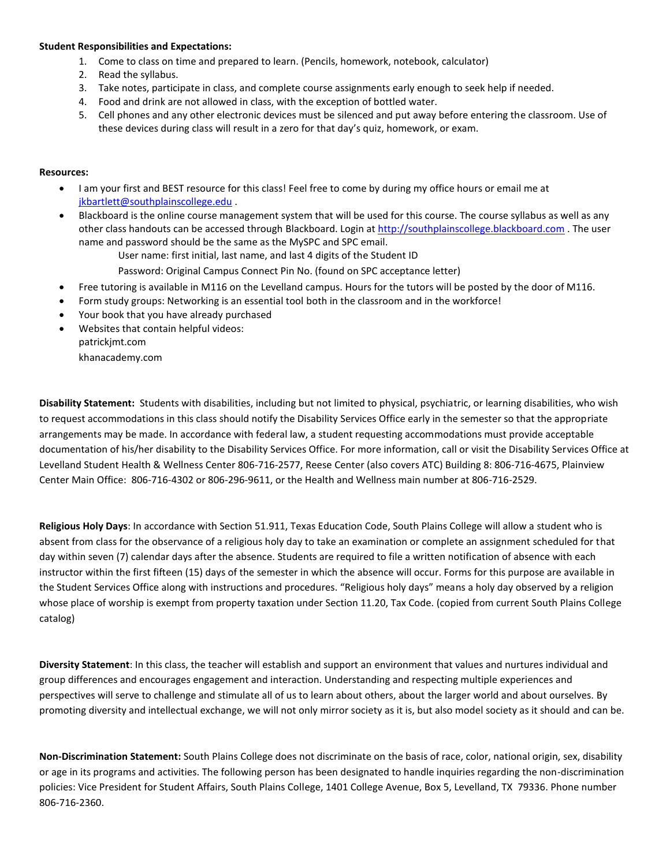#### **Student Responsibilities and Expectations:**

- 1. Come to class on time and prepared to learn. (Pencils, homework, notebook, calculator)
- 2. Read the syllabus.
- 3. Take notes, participate in class, and complete course assignments early enough to seek help if needed.
- 4. Food and drink are not allowed in class, with the exception of bottled water.
- 5. Cell phones and any other electronic devices must be silenced and put away before entering the classroom. Use of these devices during class will result in a zero for that day's quiz, homework, or exam.

#### **Resources:**

- I am your first and BEST resource for this class! Feel free to come by during my office hours or email me at [jkbartlett@southplainscollege.edu](mailto:jkbartlett@southplainscollege.edu) .
- Blackboard is the online course management system that will be used for this course. The course syllabus as well as any other class handouts can be accessed through Blackboard. Login a[t http://southplainscollege.blackboard.com](http://southplainscollege.blackboard.com/) . The user name and password should be the same as the MySPC and SPC email.
	- User name: first initial, last name, and last 4 digits of the Student ID
	- Password: Original Campus Connect Pin No. (found on SPC acceptance letter)
- Free tutoring is available in M116 on the Levelland campus. Hours for the tutors will be posted by the door of M116.
- Form study groups: Networking is an essential tool both in the classroom and in the workforce!
- Your book that you have already purchased
- Websites that contain helpful videos:
	- patrickjmt.com
	- khanacademy.com

**Disability Statement:** Students with disabilities, including but not limited to physical, psychiatric, or learning disabilities, who wish to request accommodations in this class should notify the Disability Services Office early in the semester so that the appropriate arrangements may be made. In accordance with federal law, a student requesting accommodations must provide acceptable documentation of his/her disability to the Disability Services Office. For more information, call or visit the Disability Services Office at Levelland Student Health & Wellness Center 806-716-2577, Reese Center (also covers ATC) Building 8: 806-716-4675, Plainview Center Main Office: 806-716-4302 or 806-296-9611, or the Health and Wellness main number at 806-716-2529.

**Religious Holy Days**: In accordance with Section 51.911, Texas Education Code, South Plains College will allow a student who is absent from class for the observance of a religious holy day to take an examination or complete an assignment scheduled for that day within seven (7) calendar days after the absence. Students are required to file a written notification of absence with each instructor within the first fifteen (15) days of the semester in which the absence will occur. Forms for this purpose are available in the Student Services Office along with instructions and procedures. "Religious holy days" means a holy day observed by a religion whose place of worship is exempt from property taxation under Section 11.20, Tax Code. (copied from current South Plains College catalog)

**Diversity Statement**: In this class, the teacher will establish and support an environment that values and nurtures individual and group differences and encourages engagement and interaction. Understanding and respecting multiple experiences and perspectives will serve to challenge and stimulate all of us to learn about others, about the larger world and about ourselves. By promoting diversity and intellectual exchange, we will not only mirror society as it is, but also model society as it should and can be.

**Non-Discrimination Statement:** South Plains College does not discriminate on the basis of race, color, national origin, sex, disability or age in its programs and activities. The following person has been designated to handle inquiries regarding the non-discrimination policies: Vice President for Student Affairs, South Plains College, 1401 College Avenue, Box 5, Levelland, TX 79336. Phone number 806-716-2360.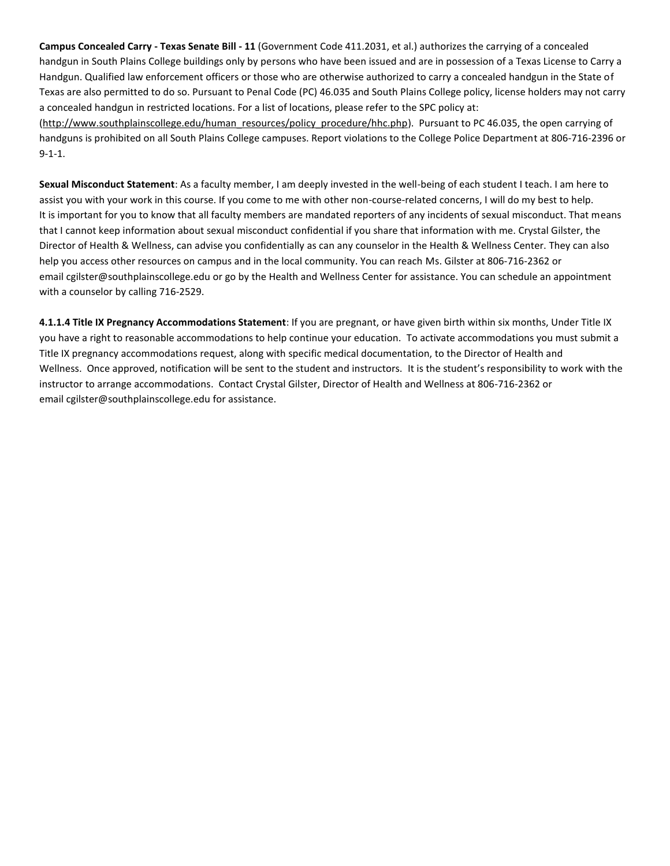**Campus Concealed Carry - Texas Senate Bill - 11** (Government Code 411.2031, et al.) authorizes the carrying of a concealed handgun in South Plains College buildings only by persons who have been issued and are in possession of a Texas License to Carry a Handgun. Qualified law enforcement officers or those who are otherwise authorized to carry a concealed handgun in the State of Texas are also permitted to do so. Pursuant to Penal Code (PC) 46.035 and South Plains College policy, license holders may not carry a concealed handgun in restricted locations. For a list of locations, please refer to the SPC policy at: [\(http://www.southplainscollege.edu/human\\_resources/policy\\_procedure/hhc.php\)](http://www.southplainscollege.edu/human_resources/policy_procedure/hhc.php). Pursuant to PC 46.035, the open carrying of

handguns is prohibited on all South Plains College campuses. Report violations to the College Police Department at 806-716-2396 or 9-1-1.

**Sexual Misconduct Statement**: As a faculty member, I am deeply invested in the well-being of each student I teach. I am here to assist you with your work in this course. If you come to me with other non-course-related concerns, I will do my best to help. It is important for you to know that all faculty members are mandated reporters of any incidents of sexual misconduct. That means that I cannot keep information about sexual misconduct confidential if you share that information with me. Crystal Gilster, the Director of Health & Wellness, can advise you confidentially as can any counselor in the Health & Wellness Center. They can also help you access other resources on campus and in the local community. You can reach Ms. Gilster at 806-716-2362 or email [cgilster@southplainscollege.edu](mailto:cgilster@southplainscollege.edu?subject=Title%20IX%20Pregnancy%20Accomodation) or go by the Health and Wellness Center for assistance. You can schedule an appointment with a counselor by calling 716-2529.

**4.1.1.4 Title IX Pregnancy Accommodations Statement**: If you are pregnant, or have given birth within six months, Under Title IX you have a right to reasonable accommodations to help continue your education. To activate accommodations you must submit a Title IX pregnancy accommodations request, along with specific medical documentation, to the Director of Health and Wellness. Once approved, notification will be sent to the student and instructors. It is the student's responsibility to work with the instructor to arrange accommodations. Contact Crystal Gilster, Director of Health and Wellness at 806-716-2362 or email [cgilster@southplainscollege.edu](mailto:cgilster@southplainscollege.edu?subject=Title%20IX%20Pregnancy%20Accomodation) for assistance.